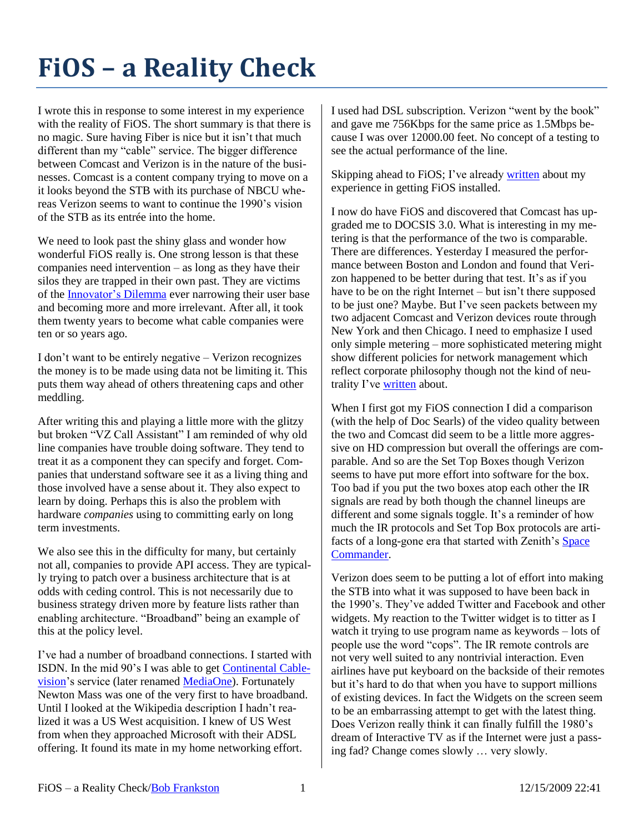## **FiOS – a Reality Check**

I wrote this in response to some interest in my experience with the reality of FiOS. The short summary is that there is no magic. Sure having Fiber is nice but it isn't that much different than my "cable" service. The bigger difference between Comcast and Verizon is in the nature of the businesses. Comcast is a content company trying to move on a it looks beyond the STB with its purchase of NBCU whereas Verizon seems to want to continue the 1990's vision of the STB as its entrée into the home.

We need to look past the shiny glass and wonder how wonderful FiOS really is. One strong lesson is that these companies need intervention – as long as they have their silos they are trapped in their own past. They are victims of the [Innovator's Dilemma](http://www.amazon.com/dp/0060521996/BobFrankston) ever narrowing their user base and becoming more and more irrelevant. After all, it took them twenty years to become what cable companies were ten or so years ago.

I don't want to be entirely negative – Verizon recognizes the money is to be made using data not be limiting it. This puts them way ahead of others threatening caps and other meddling.

After writing this and playing a little more with the glitzy but broken "VZ Call Assistant" I am reminded of why old line companies have trouble doing software. They tend to treat it as a component they can specify and forget. Companies that understand software see it as a living thing and those involved have a sense about it. They also expect to learn by doing. Perhaps this is also the problem with hardware *companies* using to committing early on long term investments.

We also see this in the difficulty for many, but certainly not all, companies to provide API access. They are typically trying to patch over a business architecture that is at odds with ceding control. This is not necessarily due to business strategy driven more by feature lists rather than enabling architecture. "Broadband" being an example of this at the policy level.

I've had a number of broadband connections. I started with ISDN. In the mid 90's I was able to get [Continental Cable](http://en.wikipedia.org/wiki/Continental_Cablevision#Acquisitions_and_dispositions)[vision'](http://en.wikipedia.org/wiki/Continental_Cablevision#Acquisitions_and_dispositions)s service (later renamed [MediaOne\)](http://en.wikipedia.org/wiki/Continental_Cablevision#Acquisitions_and_dispositions). Fortunately Newton Mass was one of the very first to have broadband. Until I looked at the Wikipedia description I hadn't realized it was a US West acquisition. I knew of US West from when they approached Microsoft with their ADSL offering. It found its mate in my home networking effort.

I used had DSL subscription. Verizon "went by the book" and gave me 756Kbps for the same price as 1.5Mbps because I was over 12000.00 feet. No concept of a testing to see the actual performance of the line.

Skipping ahead to FiOS; I've already [written](http://rmf.vc/?n=VerizonVs) about my experience in getting FiOS installed.

I now do have FiOS and discovered that Comcast has upgraded me to DOCSIS 3.0. What is interesting in my metering is that the performance of the two is comparable. There are differences. Yesterday I measured the performance between Boston and London and found that Verizon happened to be better during that test. It's as if you have to be on the right Internet – but isn't there supposed to be just one? Maybe. But I've seen packets between my two adjacent Comcast and Verizon devices route through New York and then Chicago. I need to emphasize I used only simple metering – more sophisticated metering might show different policies for network management which reflect corporate philosophy though not the kind of neutrality I've [written](http://rmf.vc/?n=IPPvD) about.

When I first got my FiOS connection I did a comparison (with the help of Doc Searls) of the video quality between the two and Comcast did seem to be a little more aggressive on HD compression but overall the offerings are comparable. And so are the Set Top Boxes though Verizon seems to have put more effort into software for the box. Too bad if you put the two boxes atop each other the IR signals are read by both though the channel lineups are different and some signals toggle. It's a reminder of how much the IR protocols and Set Top Box protocols are artifacts of a long-gone era that started with Zenith's [Space](http://en.wikipedia.org/wiki/Zenith_Electronics#The_remote_control)  [Commander.](http://en.wikipedia.org/wiki/Zenith_Electronics#The_remote_control)

Verizon does seem to be putting a lot of effort into making the STB into what it was supposed to have been back in the 1990's. They've added Twitter and Facebook and other widgets. My reaction to the Twitter widget is to titter as I watch it trying to use program name as keywords – lots of people use the word "cops". The IR remote controls are not very well suited to any nontrivial interaction. Even airlines have put keyboard on the backside of their remotes but it's hard to do that when you have to support millions of existing devices. In fact the Widgets on the screen seem to be an embarrassing attempt to get with the latest thing. Does Verizon really think it can finally fulfill the 1980's dream of Interactive TV as if the Internet were just a passing fad? Change comes slowly … very slowly.